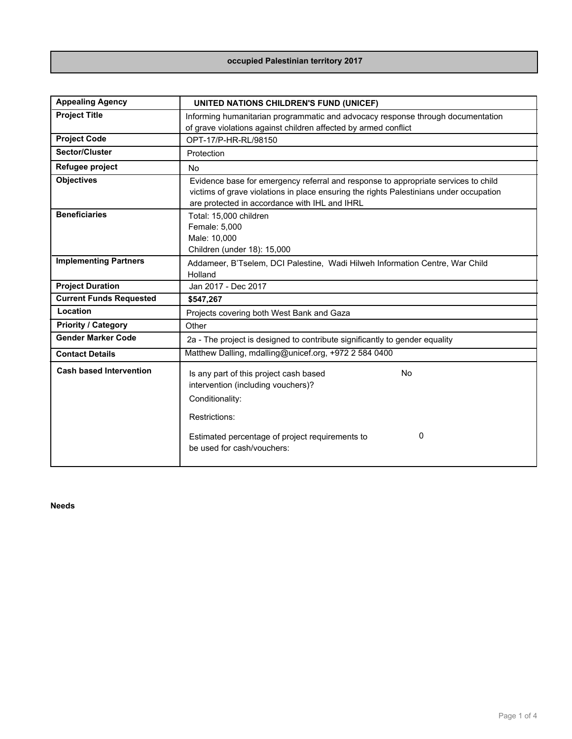## **occupied Palestinian territory 2017**

| <b>Appealing Agency</b>        | UNITED NATIONS CHILDREN'S FUND (UNICEF)                                                                                                                                                                                       |  |  |
|--------------------------------|-------------------------------------------------------------------------------------------------------------------------------------------------------------------------------------------------------------------------------|--|--|
| <b>Project Title</b>           | Informing humanitarian programmatic and advocacy response through documentation                                                                                                                                               |  |  |
|                                | of grave violations against children affected by armed conflict                                                                                                                                                               |  |  |
| <b>Project Code</b>            | OPT-17/P-HR-RL/98150                                                                                                                                                                                                          |  |  |
| Sector/Cluster                 | Protection                                                                                                                                                                                                                    |  |  |
| Refugee project                | <b>No</b>                                                                                                                                                                                                                     |  |  |
| <b>Objectives</b>              | Evidence base for emergency referral and response to appropriate services to child<br>victims of grave violations in place ensuring the rights Palestinians under occupation<br>are protected in accordance with IHL and IHRL |  |  |
| <b>Beneficiaries</b>           | Total: 15,000 children<br>Female: 5,000<br>Male: 10,000<br>Children (under 18): 15,000                                                                                                                                        |  |  |
| <b>Implementing Partners</b>   | Addameer, B'Tselem, DCI Palestine, Wadi Hilweh Information Centre, War Child<br>Holland                                                                                                                                       |  |  |
| <b>Project Duration</b>        | Jan 2017 - Dec 2017                                                                                                                                                                                                           |  |  |
| <b>Current Funds Requested</b> | \$547,267                                                                                                                                                                                                                     |  |  |
| Location                       | Projects covering both West Bank and Gaza                                                                                                                                                                                     |  |  |
| <b>Priority / Category</b>     | Other                                                                                                                                                                                                                         |  |  |
| <b>Gender Marker Code</b>      | 2a - The project is designed to contribute significantly to gender equality                                                                                                                                                   |  |  |
| <b>Contact Details</b>         | Matthew Dalling, mdalling@unicef.org, +972 2 584 0400                                                                                                                                                                         |  |  |
| <b>Cash based Intervention</b> | <b>No</b><br>Is any part of this project cash based<br>intervention (including vouchers)?<br>Conditionality:<br>Restrictions:<br>0<br>Estimated percentage of project requirements to<br>be used for cash/vouchers:           |  |  |

**Needs**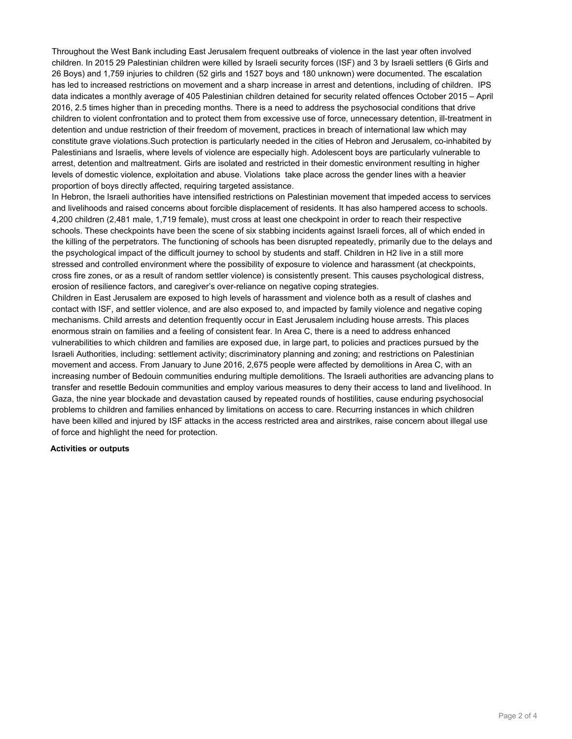Throughout the West Bank including East Jerusalem frequent outbreaks of violence in the last year often involved children. In 2015 29 Palestinian children were killed by Israeli security forces (ISF) and 3 by Israeli settlers (6 Girls and 26 Boys) and 1,759 injuries to children (52 girls and 1527 boys and 180 unknown) were documented. The escalation has led to increased restrictions on movement and a sharp increase in arrest and detentions, including of children. IPS data indicates a monthly average of 405 Palestinian children detained for security related offences October 2015 – April 2016, 2.5 times higher than in preceding months. There is a need to address the psychosocial conditions that drive children to violent confrontation and to protect them from excessive use of force, unnecessary detention, ill-treatment in detention and undue restriction of their freedom of movement, practices in breach of international law which may constitute grave violations.Such protection is particularly needed in the cities of Hebron and Jerusalem, co-inhabited by Palestinians and Israelis, where levels of violence are especially high. Adolescent boys are particularly vulnerable to arrest, detention and maltreatment. Girls are isolated and restricted in their domestic environment resulting in higher levels of domestic violence, exploitation and abuse. Violations take place across the gender lines with a heavier proportion of boys directly affected, requiring targeted assistance.

In Hebron, the Israeli authorities have intensified restrictions on Palestinian movement that impeded access to services and livelihoods and raised concerns about forcible displacement of residents. It has also hampered access to schools. 4,200 children (2,481 male, 1,719 female), must cross at least one checkpoint in order to reach their respective schools. These checkpoints have been the scene of six stabbing incidents against Israeli forces, all of which ended in the killing of the perpetrators. The functioning of schools has been disrupted repeatedly, primarily due to the delays and the psychological impact of the difficult journey to school by students and staff. Children in H2 live in a still more stressed and controlled environment where the possibility of exposure to violence and harassment (at checkpoints, cross fire zones, or as a result of random settler violence) is consistently present. This causes psychological distress, erosion of resilience factors, and caregiver's over-reliance on negative coping strategies.

Children in East Jerusalem are exposed to high levels of harassment and violence both as a result of clashes and contact with ISF, and settler violence, and are also exposed to, and impacted by family violence and negative coping mechanisms. Child arrests and detention frequently occur in East Jerusalem including house arrests. This places enormous strain on families and a feeling of consistent fear. In Area C, there is a need to address enhanced vulnerabilities to which children and families are exposed due, in large part, to policies and practices pursued by the Israeli Authorities, including: settlement activity; discriminatory planning and zoning; and restrictions on Palestinian movement and access. From January to June 2016, 2,675 people were affected by demolitions in Area C, with an increasing number of Bedouin communities enduring multiple demolitions. The Israeli authorities are advancing plans to transfer and resettle Bedouin communities and employ various measures to deny their access to land and livelihood. In Gaza, the nine year blockade and devastation caused by repeated rounds of hostilities, cause enduring psychosocial problems to children and families enhanced by limitations on access to care. Recurring instances in which children have been killed and injured by ISF attacks in the access restricted area and airstrikes, raise concern about illegal use of force and highlight the need for protection.

## **Activities or outputs**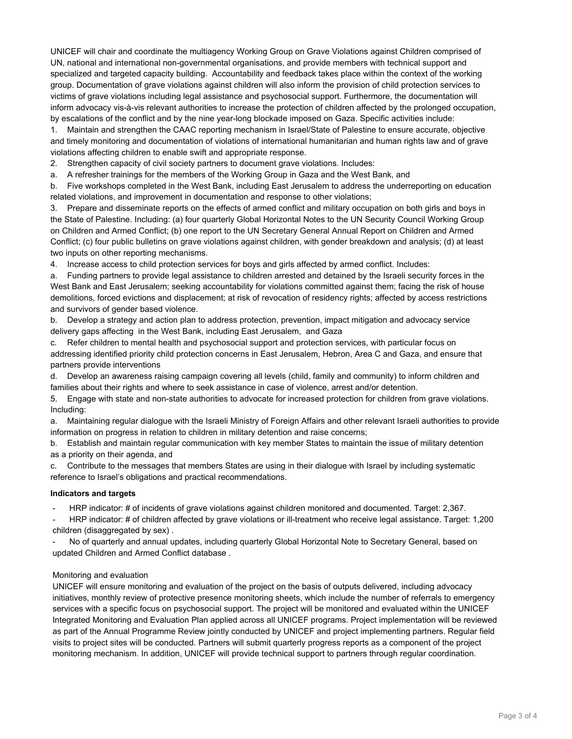UNICEF will chair and coordinate the multiagency Working Group on Grave Violations against Children comprised of UN, national and international non-governmental organisations, and provide members with technical support and specialized and targeted capacity building. Accountability and feedback takes place within the context of the working group. Documentation of grave violations against children will also inform the provision of child protection services to victims of grave violations including legal assistance and psychosocial support. Furthermore, the documentation will inform advocacy vis-à-vis relevant authorities to increase the protection of children affected by the prolonged occupation, by escalations of the conflict and by the nine year-long blockade imposed on Gaza. Specific activities include:

1. Maintain and strengthen the CAAC reporting mechanism in Israel/State of Palestine to ensure accurate, objective and timely monitoring and documentation of violations of international humanitarian and human rights law and of grave violations affecting children to enable swift and appropriate response.

2. Strengthen capacity of civil society partners to document grave violations. Includes:

a. A refresher trainings for the members of the Working Group in Gaza and the West Bank, and

b. Five workshops completed in the West Bank, including East Jerusalem to address the underreporting on education related violations, and improvement in documentation and response to other violations;

3. Prepare and disseminate reports on the effects of armed conflict and military occupation on both girls and boys in the State of Palestine. Including: (a) four quarterly Global Horizontal Notes to the UN Security Council Working Group on Children and Armed Conflict; (b) one report to the UN Secretary General Annual Report on Children and Armed Conflict; (c) four public bulletins on grave violations against children, with gender breakdown and analysis; (d) at least two inputs on other reporting mechanisms.

4. Increase access to child protection services for boys and girls affected by armed conflict. Includes:

a. Funding partners to provide legal assistance to children arrested and detained by the Israeli security forces in the West Bank and East Jerusalem; seeking accountability for violations committed against them; facing the risk of house demolitions, forced evictions and displacement; at risk of revocation of residency rights; affected by access restrictions and survivors of gender based violence.

b. Develop a strategy and action plan to address protection, prevention, impact mitigation and advocacy service delivery gaps affecting in the West Bank, including East Jerusalem, and Gaza

c. Refer children to mental health and psychosocial support and protection services, with particular focus on addressing identified priority child protection concerns in East Jerusalem, Hebron, Area C and Gaza, and ensure that partners provide interventions

d. Develop an awareness raising campaign covering all levels (child, family and community) to inform children and families about their rights and where to seek assistance in case of violence, arrest and/or detention.

5. Engage with state and non-state authorities to advocate for increased protection for children from grave violations. Including:

a. Maintaining regular dialogue with the Israeli Ministry of Foreign Affairs and other relevant Israeli authorities to provide information on progress in relation to children in military detention and raise concerns;

b. Establish and maintain regular communication with key member States to maintain the issue of military detention as a priority on their agenda, and

c. Contribute to the messages that members States are using in their dialogue with Israel by including systematic reference to Israel's obligations and practical recommendations.

## **Indicators and targets**

- HRP indicator: # of incidents of grave violations against children monitored and documented. Target: 2,367.

- HRP indicator: # of children affected by grave violations or ill-treatment who receive legal assistance. Target: 1,200 children (disaggregated by sex) .

- No of quarterly and annual updates, including quarterly Global Horizontal Note to Secretary General, based on updated Children and Armed Conflict database .

## Monitoring and evaluation

UNICEF will ensure monitoring and evaluation of the project on the basis of outputs delivered, including advocacy initiatives, monthly review of protective presence monitoring sheets, which include the number of referrals to emergency services with a specific focus on psychosocial support. The project will be monitored and evaluated within the UNICEF Integrated Monitoring and Evaluation Plan applied across all UNICEF programs. Project implementation will be reviewed as part of the Annual Programme Review jointly conducted by UNICEF and project implementing partners. Regular field visits to project sites will be conducted. Partners will submit quarterly progress reports as a component of the project monitoring mechanism. In addition, UNICEF will provide technical support to partners through regular coordination.